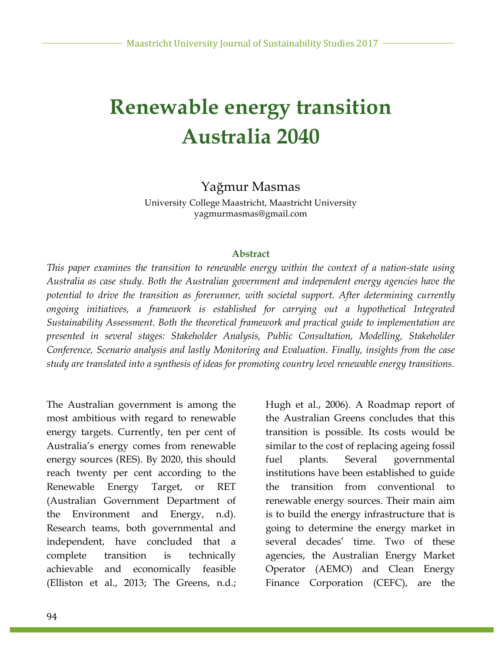# **Renewable energy transition Australia 2040**

### Yağmur Masmas

University College Maastricht, Maastricht University yagmurmasmas@gmail.com

#### **Abstract**

*This paper examines the transition to renewable energy within the context of a nation-state using Australia as case study. Both the Australian government and independent energy agencies have the potential to drive the transition as forerunner, with societal support. After determining currently ongoing initiatives, a framework is established for carrying out a hypothetical Integrated Sustainability Assessment. Both the theoretical framework and practical guide to implementation are presented in several stages: Stakeholder Analysis, Public Consultation, Modelling, Stakeholder Conference, Scenario analysis and lastly Monitoring and Evaluation. Finally, insights from the case study are translated into a synthesis of ideas for promoting country level renewable energy transitions.*

The Australian government is among the most ambitious with regard to renewable energy targets. Currently, ten per cent of Australia's energy comes from renewable energy sources (RES). By 2020, this should reach twenty per cent according to the Renewable Energy Target, or RET (Australian Government Department of the Environment and Energy, n.d). Research teams, both governmental and independent, have concluded that a complete transition is technically achievable and economically feasible (Elliston et al., 2013; The Greens, n.d.;

Hugh et al., 2006). A Roadmap report of the Australian Greens concludes that this transition is possible. Its costs would be similar to the cost of replacing ageing fossil fuel plants. Several governmental institutions have been established to guide the transition from conventional to renewable energy sources. Their main aim is to build the energy infrastructure that is going to determine the energy market in several decades' time. Two of these agencies, the Australian Energy Market Operator (AEMO) and Clean Energy Finance Corporation (CEFC), are the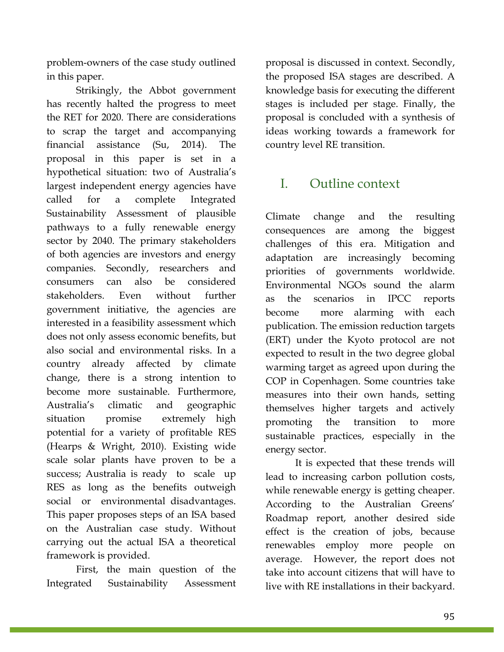problem-owners of the case study outlined in this paper.

Strikingly, the Abbot government has recently halted the progress to meet the RET for 2020. There are considerations to scrap the target and accompanying financial assistance (Su, 2014). The proposal in this paper is set in a hypothetical situation: two of Australia's largest independent energy agencies have called for a complete Integrated Sustainability Assessment of plausible pathways to a fully renewable energy sector by 2040. The primary stakeholders of both agencies are investors and energy companies. Secondly, researchers and consumers can also be considered stakeholders. Even without further government initiative, the agencies are interested in a feasibility assessment which does not only assess economic benefits, but also social and environmental risks. In a country already affected by climate change, there is a strong intention to become more sustainable. Furthermore, Australia's climatic and geographic situation promise extremely high potential for a variety of profitable RES (Hearps & Wright, 2010). Existing wide scale solar plants have proven to be a success; Australia is ready to scale up RES as long as the benefits outweigh social or environmental disadvantages. This paper proposes steps of an ISA based on the Australian case study. Without carrying out the actual ISA a theoretical framework is provided.

First, the main question of the Integrated Sustainability Assessment proposal is discussed in context. Secondly, the proposed ISA stages are described. A knowledge basis for executing the different stages is included per stage. Finally, the proposal is concluded with a synthesis of ideas working towards a framework for country level RE transition.

### I. Outline context

Climate change and the resulting consequences are among the biggest challenges of this era. Mitigation and adaptation are increasingly becoming priorities of governments worldwide. Environmental NGOs sound the alarm as the scenarios in IPCC reports become more alarming with each publication. The emission reduction targets (ERT) under the Kyoto protocol are not expected to result in the two degree global warming target as agreed upon during the COP in Copenhagen. Some countries take measures into their own hands, setting themselves higher targets and actively promoting the transition to more sustainable practices, especially in the energy sector.

It is expected that these trends will lead to increasing carbon pollution costs, while renewable energy is getting cheaper. According to the Australian Greens' Roadmap report, another desired side effect is the creation of jobs, because renewables employ more people on average. However, the report does not take into account citizens that will have to live with RE installations in their backyard.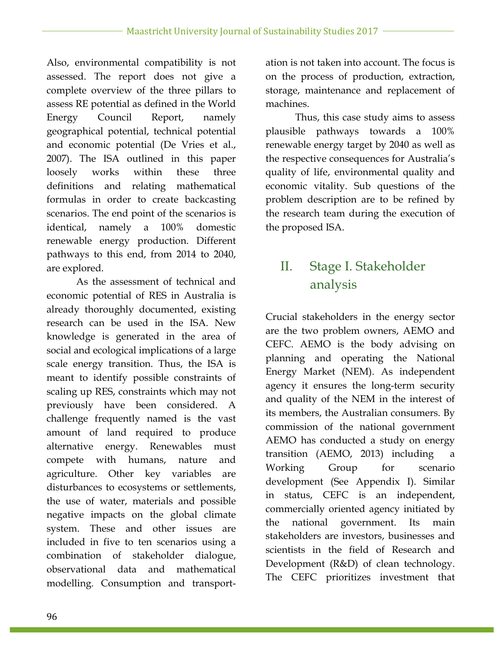Also, environmental compatibility is not assessed. The report does not give a complete overview of the three pillars to assess RE potential as defined in the World Energy Council Report, namely geographical potential, technical potential and economic potential (De Vries et al., 2007). The ISA outlined in this paper loosely works within these three definitions and relating mathematical formulas in order to create backcasting scenarios. The end point of the scenarios is identical, namely a 100% domestic renewable energy production. Different pathways to this end, from 2014 to 2040, are explored.

As the assessment of technical and economic potential of RES in Australia is already thoroughly documented, existing research can be used in the ISA. New knowledge is generated in the area of social and ecological implications of a large scale energy transition. Thus, the ISA is meant to identify possible constraints of scaling up RES, constraints which may not previously have been considered. A challenge frequently named is the vast amount of land required to produce alternative energy. Renewables must compete with humans, nature and agriculture. Other key variables are disturbances to ecosystems or settlements, the use of water, materials and possible negative impacts on the global climate system. These and other issues are included in five to ten scenarios using a combination of stakeholder dialogue, observational data and mathematical modelling. Consumption and transportation is not taken into account. The focus is on the process of production, extraction, storage, maintenance and replacement of machines.

Thus, this case study aims to assess plausible pathways towards a 100% renewable energy target by 2040 as well as the respective consequences for Australia's quality of life, environmental quality and economic vitality. Sub questions of the problem description are to be refined by the research team during the execution of the proposed ISA.

## II. Stage I. Stakeholder analysis

Crucial stakeholders in the energy sector are the two problem owners, AEMO and CEFC. AEMO is the body advising on planning and operating the National Energy Market (NEM). As independent agency it ensures the long-term security and quality of the NEM in the interest of its members, the Australian consumers. By commission of the national government AEMO has conducted a study on energy transition (AEMO, 2013) including a Working Group for scenario development (See Appendix I). Similar in status, CEFC is an independent, commercially oriented agency initiated by the national government. Its main stakeholders are investors, businesses and scientists in the field of Research and Development (R&D) of clean technology. The CEFC prioritizes investment that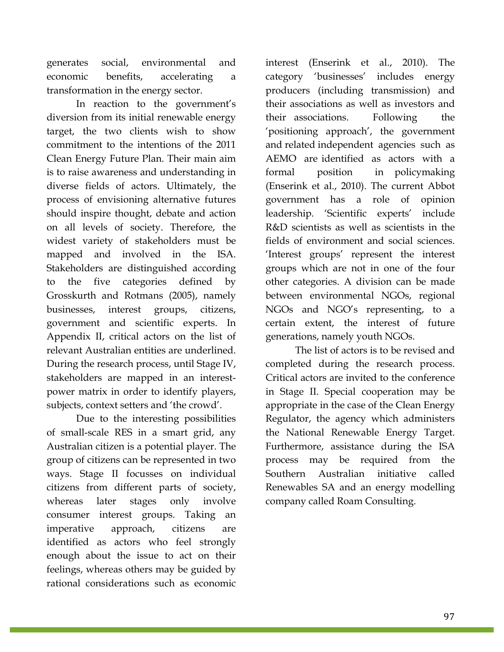generates social, environmental and economic benefits, accelerating a transformation in the energy sector.

In reaction to the government's diversion from its initial renewable energy target, the two clients wish to show commitment to the intentions of the 2011 Clean Energy Future Plan. Their main aim is to raise awareness and understanding in diverse fields of actors. Ultimately, the process of envisioning alternative futures should inspire thought, debate and action on all levels of society. Therefore, the widest variety of stakeholders must be mapped and involved in the ISA. Stakeholders are distinguished according to the five categories defined by Grosskurth and Rotmans (2005), namely businesses, interest groups, citizens, government and scientific experts. In Appendix II, critical actors on the list of relevant Australian entities are underlined. During the research process, until Stage IV, stakeholders are mapped in an interestpower matrix in order to identify players, subjects, context setters and 'the crowd'.

Due to the interesting possibilities of small-scale RES in a smart grid, any Australian citizen is a potential player. The group of citizens can be represented in two ways. Stage II focusses on individual citizens from different parts of society, whereas later stages only involve consumer interest groups. Taking an imperative approach, citizens are identified as actors who feel strongly enough about the issue to act on their feelings, whereas others may be guided by rational considerations such as economic

interest (Enserink et al., 2010). The category 'businesses' includes energy producers (including transmission) and their associations as well as investors and their associations. Following the 'positioning approach', the government and related independent agencies such as AEMO are identified as actors with a formal position in policymaking (Enserink et al., 2010). The current Abbot government has a role of opinion leadership. 'Scientific experts' include R&D scientists as well as scientists in the fields of environment and social sciences. 'Interest groups' represent the interest groups which are not in one of the four other categories. A division can be made between environmental NGOs, regional NGOs and NGO's representing, to a certain extent, the interest of future generations, namely youth NGOs.

The list of actors is to be revised and completed during the research process. Critical actors are invited to the conference in Stage II. Special cooperation may be appropriate in the case of the Clean Energy Regulator, the agency which administers the National Renewable Energy Target. Furthermore, assistance during the ISA process may be required from the Southern Australian initiative called Renewables SA and an energy modelling company called Roam Consulting.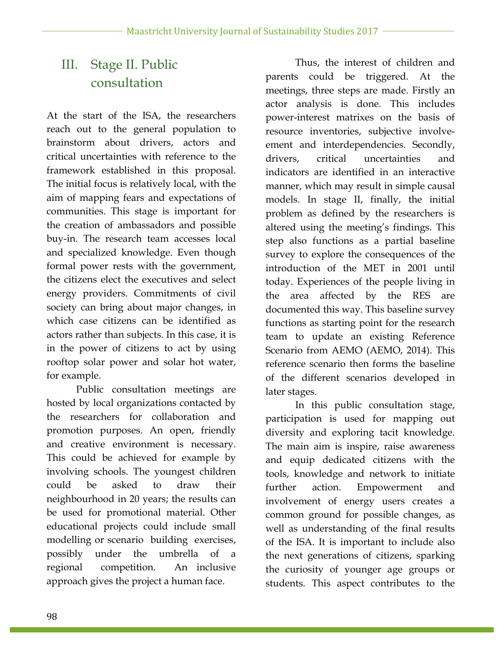## III. Stage II. Public consultation

At the start of the ISA, the researchers reach out to the general population to brainstorm about drivers, actors and critical uncertainties with reference to the framework established in this proposal. The initial focus is relatively local, with the aim of mapping fears and expectations of communities. This stage is important for the creation of ambassadors and possible buy-in. The research team accesses local and specialized knowledge. Even though formal power rests with the government, the citizens elect the executives and select energy providers. Commitments of civil society can bring about major changes, in which case citizens can be identified as actors rather than subjects. In this case, it is in the power of citizens to act by using rooftop solar power and solar hot water, for example.

Public consultation meetings are hosted by local organizations contacted by the researchers for collaboration and promotion purposes. An open, friendly and creative environment is necessary. This could be achieved for example by involving schools. The youngest children could be asked to draw their neighbourhood in 20 years; the results can be used for promotional material. Other educational projects could include small modelling or scenario building exercises, possibly under the umbrella of a regional competition. An inclusive approach gives the project a human face.

Thus, the interest of children and parents could be triggered. At the meetings, three steps are made. Firstly an actor analysis is done. This includes power-interest matrixes on the basis of resource inventories, subjective involveement and interdependencies. Secondly, drivers, critical uncertainties and indicators are identified in an interactive manner, which may result in simple causal models. In stage II, finally, the initial problem as defined by the researchers is altered using the meeting's findings. This step also functions as a partial baseline survey to explore the consequences of the introduction of the MET in 2001 until today. Experiences of the people living in the area affected by the RES are documented this way. This baseline survey functions as starting point for the research team to update an existing Reference Scenario from AEMO (AEMO, 2014). This reference scenario then forms the baseline of the different scenarios developed in later stages.

In this public consultation stage, participation is used for mapping out diversity and exploring tacit knowledge. The main aim is inspire, raise awareness and equip dedicated citizens with the tools, knowledge and network to initiate further action. Empowerment and involvement of energy users creates a common ground for possible changes, as well as understanding of the final results of the ISA. It is important to include also the next generations of citizens, sparking the curiosity of younger age groups or students. This aspect contributes to the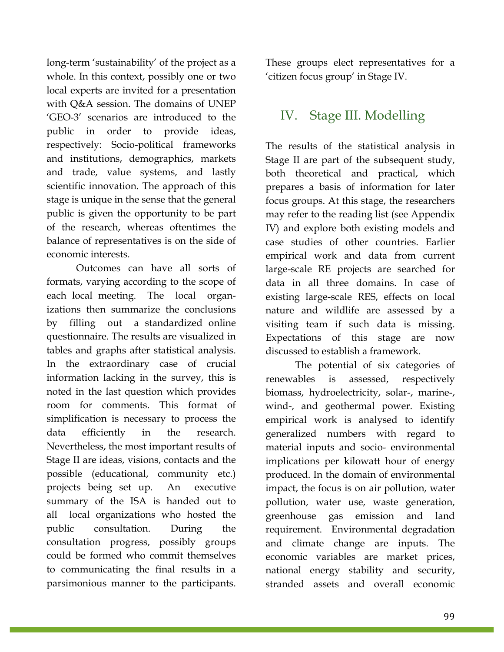long-term 'sustainability' of the project as a whole. In this context, possibly one or two local experts are invited for a presentation with Q&A session. The domains of UNEP 'GEO-3' scenarios are introduced to the public in order to provide ideas, respectively: Socio-political frameworks and institutions, demographics, markets and trade, value systems, and lastly scientific innovation. The approach of this stage is unique in the sense that the general public is given the opportunity to be part of the research, whereas oftentimes the balance of representatives is on the side of economic interests.

Outcomes can have all sorts of formats, varying according to the scope of each local meeting. The local organizations then summarize the conclusions by filling out a standardized online questionnaire. The results are visualized in tables and graphs after statistical analysis. In the extraordinary case of crucial information lacking in the survey, this is noted in the last question which provides room for comments. This format of simplification is necessary to process the data efficiently in the research. Nevertheless, the most important results of Stage II are ideas, visions, contacts and the possible (educational, community etc.) projects being set up. An executive summary of the ISA is handed out to all local organizations who hosted the public consultation. During the consultation progress, possibly groups could be formed who commit themselves to communicating the final results in a parsimonious manner to the participants. These groups elect representatives for a 'citizen focus group' in Stage IV.

### IV. Stage III. Modelling

The results of the statistical analysis in Stage II are part of the subsequent study, both theoretical and practical, which prepares a basis of information for later focus groups. At this stage, the researchers may refer to the reading list (see Appendix IV) and explore both existing models and case studies of other countries. Earlier empirical work and data from current large-scale RE projects are searched for data in all three domains. In case of existing large-scale RES, effects on local nature and wildlife are assessed by a visiting team if such data is missing. Expectations of this stage are now discussed to establish a framework.

The potential of six categories of renewables is assessed, respectively biomass, hydroelectricity, solar-, marine-, wind-, and geothermal power. Existing empirical work is analysed to identify generalized numbers with regard to material inputs and socio- environmental implications per kilowatt hour of energy produced. In the domain of environmental impact, the focus is on air pollution, water pollution, water use, waste generation, greenhouse gas emission and land requirement. Environmental degradation and climate change are inputs. The economic variables are market prices, national energy stability and security, stranded assets and overall economic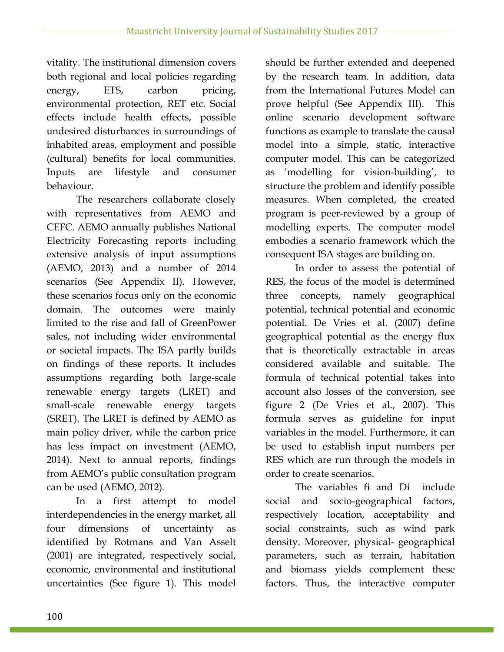vitality. The institutional dimension covers both regional and local policies regarding energy, ETS, carbon pricing, environmental protection, RET etc. Social effects include health effects, possible undesired disturbances in surroundings of inhabited areas, employment and possible (cultural) benefits for local communities. Inputs are lifestyle and consumer behaviour.

The researchers collaborate closely with representatives from AEMO and CEFC. AEMO annually publishes National Electricity Forecasting reports including extensive analysis of input assumptions (AEMO, 2013) and a number of 2014 scenarios (See Appendix II). However, these scenarios focus only on the economic domain. The outcomes were mainly limited to the rise and fall of GreenPower sales, not including wider environmental or societal impacts. The ISA partly builds on findings of these reports. It includes assumptions regarding both large-scale renewable energy targets (LRET) and small-scale renewable energy targets (SRET). The LRET is defined by AEMO as main policy driver, while the carbon price has less impact on investment (AEMO, 2014). Next to annual reports, findings from AEMO's public consultation program can be used (AEMO, 2012).

In a first attempt to model interdependencies in the energy market, all four dimensions of uncertainty as identified by Rotmans and Van Asselt (2001) are integrated, respectively social, economic, environmental and institutional uncertainties (See figure 1). This model should be further extended and deepened by the research team. In addition, data from the International Futures Model can prove helpful (See Appendix III). This online scenario development software functions as example to translate the causal model into a simple, static, interactive computer model. This can be categorized as 'modelling for vision-building', to structure the problem and identify possible measures. When completed, the created program is peer-reviewed by a group of modelling experts. The computer model embodies a scenario framework which the consequent ISA stages are building on.

In order to assess the potential of RES, the focus of the model is determined three concepts, namely geographical potential, technical potential and economic potential. De Vries et al. (2007) define geographical potential as the energy flux that is theoretically extractable in areas considered available and suitable. The formula of technical potential takes into account also losses of the conversion, see figure 2 (De Vries et al., 2007). This formula serves as guideline for input variables in the model. Furthermore, it can be used to establish input numbers per RES which are run through the models in order to create scenarios.

The variables fi and Di include social and socio-geographical factors, respectively location, acceptability and social constraints, such as wind park density. Moreover, physical- geographical parameters, such as terrain, habitation and biomass yields complement these factors. Thus, the interactive computer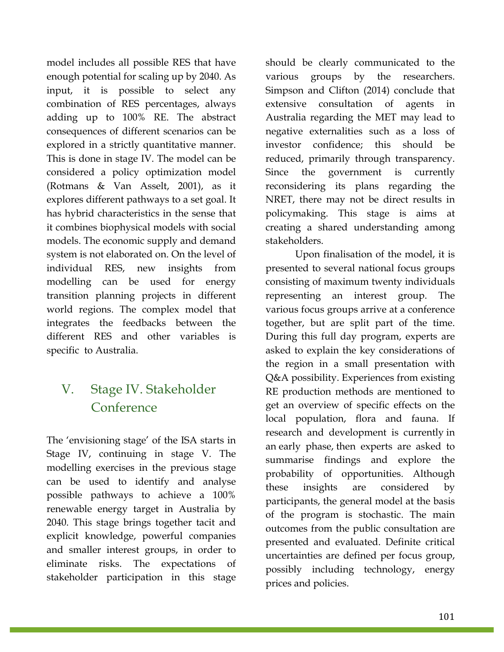model includes all possible RES that have enough potential for scaling up by 2040. As input, it is possible to select any combination of RES percentages, always adding up to 100% RE. The abstract consequences of different scenarios can be explored in a strictly quantitative manner. This is done in stage IV. The model can be considered a policy optimization model (Rotmans & Van Asselt, 2001), as it explores different pathways to a set goal. It has hybrid characteristics in the sense that it combines biophysical models with social models. The economic supply and demand system is not elaborated on. On the level of individual RES, new insights from modelling can be used for energy transition planning projects in different world regions. The complex model that integrates the feedbacks between the different RES and other variables is specific to Australia.

### V. Stage IV. Stakeholder Conference

The 'envisioning stage' of the ISA starts in Stage IV, continuing in stage V. The modelling exercises in the previous stage can be used to identify and analyse possible pathways to achieve a 100% renewable energy target in Australia by 2040. This stage brings together tacit and explicit knowledge, powerful companies and smaller interest groups, in order to eliminate risks. The expectations of stakeholder participation in this stage

should be clearly communicated to the various groups by the researchers. Simpson and Clifton (2014) conclude that extensive consultation of agents in Australia regarding the MET may lead to negative externalities such as a loss of investor confidence; this should be reduced, primarily through transparency. Since the government is currently reconsidering its plans regarding the NRET, there may not be direct results in policymaking. This stage is aims at creating a shared understanding among stakeholders.

Upon finalisation of the model, it is presented to several national focus groups consisting of maximum twenty individuals representing an interest group. The various focus groups arrive at a conference together, but are split part of the time. During this full day program, experts are asked to explain the key considerations of the region in a small presentation with Q&A possibility. Experiences from existing RE production methods are mentioned to get an overview of specific effects on the local population, flora and fauna. If research and development is currently in an early phase, then experts are asked to summarise findings and explore the probability of opportunities. Although these insights are considered by participants, the general model at the basis of the program is stochastic. The main outcomes from the public consultation are presented and evaluated. Definite critical uncertainties are defined per focus group, possibly including technology, energy prices and policies.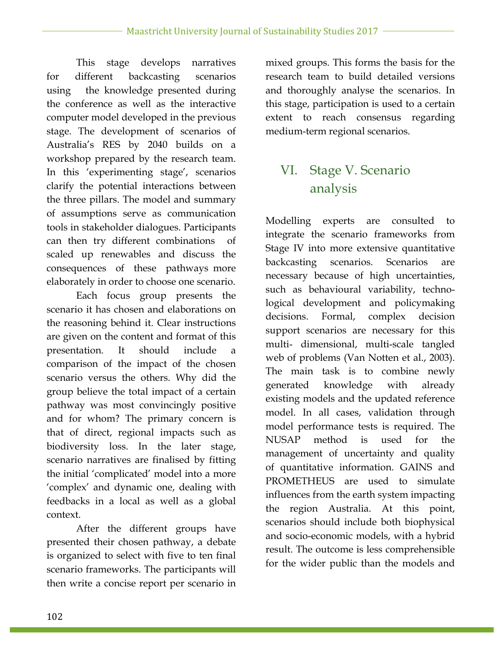This stage develops narratives for different backcasting scenarios using the knowledge presented during the conference as well as the interactive computer model developed in the previous stage. The development of scenarios of Australia's RES by 2040 builds on a workshop prepared by the research team. In this 'experimenting stage', scenarios clarify the potential interactions between the three pillars. The model and summary of assumptions serve as communication tools in stakeholder dialogues. Participants can then try different combinations of scaled up renewables and discuss the consequences of these pathways more elaborately in order to choose one scenario.

Each focus group presents the scenario it has chosen and elaborations on the reasoning behind it. Clear instructions are given on the content and format of this presentation. It should include a comparison of the impact of the chosen scenario versus the others. Why did the group believe the total impact of a certain pathway was most convincingly positive and for whom? The primary concern is that of direct, regional impacts such as biodiversity loss. In the later stage, scenario narratives are finalised by fitting the initial 'complicated' model into a more 'complex' and dynamic one, dealing with feedbacks in a local as well as a global context.

After the different groups have presented their chosen pathway, a debate is organized to select with five to ten final scenario frameworks. The participants will then write a concise report per scenario in mixed groups. This forms the basis for the research team to build detailed versions and thoroughly analyse the scenarios. In this stage, participation is used to a certain extent to reach consensus regarding medium-term regional scenarios.

## VI. Stage V. Scenario analysis

Modelling experts are consulted to integrate the scenario frameworks from Stage IV into more extensive quantitative backcasting scenarios. Scenarios are necessary because of high uncertainties, such as behavioural variability, technological development and policymaking decisions. Formal, complex decision support scenarios are necessary for this multi- dimensional, multi-scale tangled web of problems (Van Notten et al., 2003). The main task is to combine newly generated knowledge with already existing models and the updated reference model. In all cases, validation through model performance tests is required. The NUSAP method is used for the management of uncertainty and quality of quantitative information. GAINS and PROMETHEUS are used to simulate influences from the earth system impacting the region Australia. At this point, scenarios should include both biophysical and socio-economic models, with a hybrid result. The outcome is less comprehensible for the wider public than the models and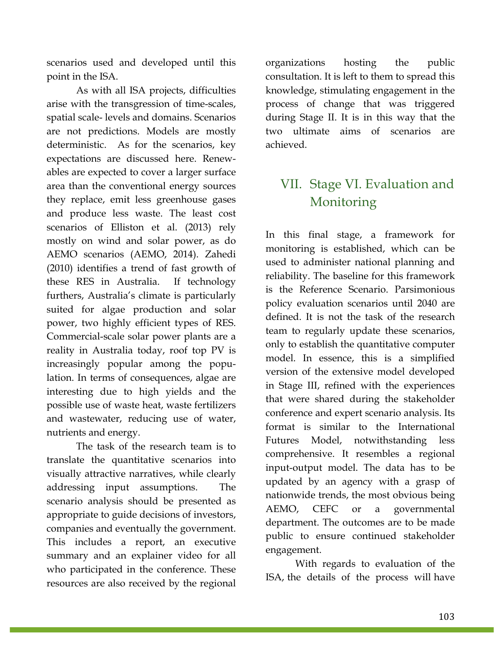scenarios used and developed until this point in the ISA.

As with all ISA projects, difficulties arise with the transgression of time-scales, spatial scale- levels and domains. Scenarios are not predictions. Models are mostly deterministic. As for the scenarios, key expectations are discussed here. Renewables are expected to cover a larger surface area than the conventional energy sources they replace, emit less greenhouse gases and produce less waste. The least cost scenarios of Elliston et al. (2013) rely mostly on wind and solar power, as do AEMO scenarios (AEMO, 2014). Zahedi (2010) identifies a trend of fast growth of these RES in Australia. If technology furthers, Australia's climate is particularly suited for algae production and solar power, two highly efficient types of RES. Commercial-scale solar power plants are a reality in Australia today, roof top PV is increasingly popular among the population. In terms of consequences, algae are interesting due to high yields and the possible use of waste heat, waste fertilizers and wastewater, reducing use of water, nutrients and energy.

The task of the research team is to translate the quantitative scenarios into visually attractive narratives, while clearly addressing input assumptions. The scenario analysis should be presented as appropriate to guide decisions of investors, companies and eventually the government. This includes a report, an executive summary and an explainer video for all who participated in the conference. These resources are also received by the regional

organizations hosting the public consultation. It is left to them to spread this knowledge, stimulating engagement in the process of change that was triggered during Stage II. It is in this way that the two ultimate aims of scenarios are achieved.

## VII. Stage VI. Evaluation and Monitoring

In this final stage, a framework for monitoring is established, which can be used to administer national planning and reliability. The baseline for this framework is the Reference Scenario. Parsimonious policy evaluation scenarios until 2040 are defined. It is not the task of the research team to regularly update these scenarios, only to establish the quantitative computer model. In essence, this is a simplified version of the extensive model developed in Stage III, refined with the experiences that were shared during the stakeholder conference and expert scenario analysis. Its format is similar to the International Futures Model, notwithstanding less comprehensive. It resembles a regional input-output model. The data has to be updated by an agency with a grasp of nationwide trends, the most obvious being AEMO, CEFC or a governmental department. The outcomes are to be made public to ensure continued stakeholder engagement.

With regards to evaluation of the ISA, the details of the process will have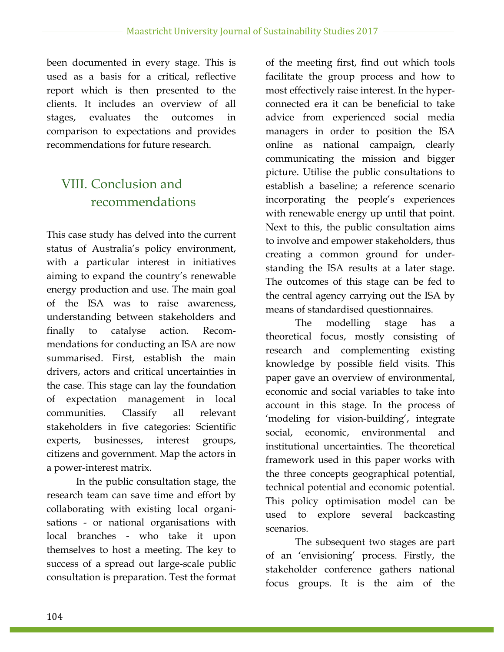been documented in every stage. This is used as a basis for a critical, reflective report which is then presented to the clients. It includes an overview of all stages, evaluates the outcomes in comparison to expectations and provides recommendations for future research.

## VIII. Conclusion and recommendations

This case study has delved into the current status of Australia's policy environment, with a particular interest in initiatives aiming to expand the country's renewable energy production and use. The main goal of the ISA was to raise awareness, understanding between stakeholders and finally to catalyse action. Recommendations for conducting an ISA are now summarised. First, establish the main drivers, actors and critical uncertainties in the case. This stage can lay the foundation of expectation management in local communities. Classify all relevant stakeholders in five categories: Scientific experts, businesses, interest groups, citizens and government. Map the actors in a power-interest matrix.

In the public consultation stage, the research team can save time and effort by collaborating with existing local organisations - or national organisations with local branches - who take it upon themselves to host a meeting. The key to success of a spread out large-scale public consultation is preparation. Test the format of the meeting first, find out which tools facilitate the group process and how to most effectively raise interest. In the hyperconnected era it can be beneficial to take advice from experienced social media managers in order to position the ISA online as national campaign, clearly communicating the mission and bigger picture. Utilise the public consultations to establish a baseline; a reference scenario incorporating the people's experiences with renewable energy up until that point. Next to this, the public consultation aims to involve and empower stakeholders, thus creating a common ground for understanding the ISA results at a later stage. The outcomes of this stage can be fed to the central agency carrying out the ISA by means of standardised questionnaires.

The modelling stage has a theoretical focus, mostly consisting of research and complementing existing knowledge by possible field visits. This paper gave an overview of environmental, economic and social variables to take into account in this stage. In the process of 'modeling for vision-building', integrate social, economic, environmental and institutional uncertainties. The theoretical framework used in this paper works with the three concepts geographical potential, technical potential and economic potential. This policy optimisation model can be used to explore several backcasting scenarios.

The subsequent two stages are part of an 'envisioning' process. Firstly, the stakeholder conference gathers national focus groups. It is the aim of the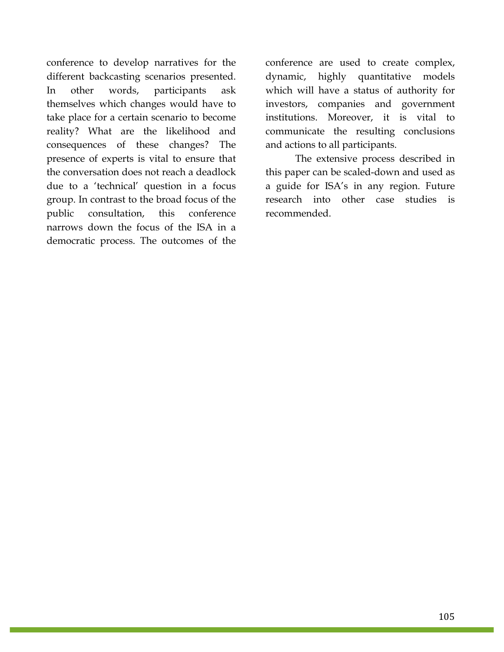conference to develop narratives for the different backcasting scenarios presented. In other words, participants ask themselves which changes would have to take place for a certain scenario to become reality? What are the likelihood and consequences of these changes? The presence of experts is vital to ensure that the conversation does not reach a deadlock due to a 'technical' question in a focus group. In contrast to the broad focus of the public consultation, this conference narrows down the focus of the ISA in a democratic process. The outcomes of the

conference are used to create complex, dynamic, highly quantitative models which will have a status of authority for investors, companies and government institutions. Moreover, it is vital to communicate the resulting conclusions and actions to all participants.

The extensive process described in this paper can be scaled-down and used as a guide for ISA's in any region. Future research into other case studies is recommended.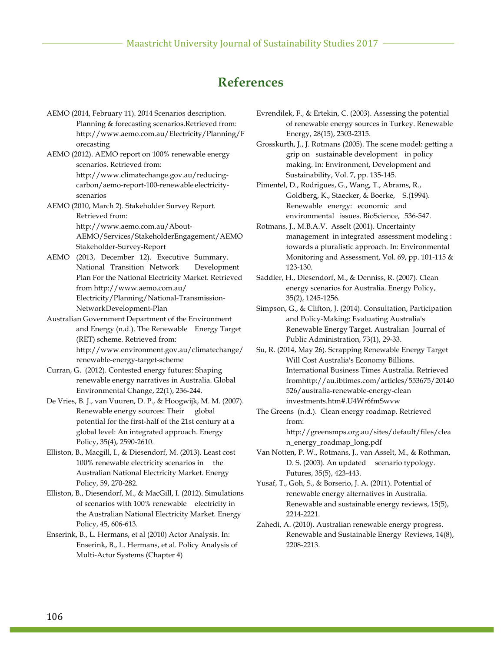### **References**

AEMO (2014, February 11). 2014 Scenarios description. Planning & forecasting scenarios.Retrieved from: http://www.aemo.com.au/Electricity/Planning/F orecasting

AEMO (2012). AEMO report on 100% renewable energy scenarios. Retrieved from: http://www.climatechange.gov.au/reducingcarbon/aemo-report-100-renewable electricityscenarios

AEMO (2010, March 2). Stakeholder Survey Report. Retrieved from: http://www.aemo.com.au/About-AEMO/Services/StakeholderEngagement/AEMO Stakeholder-Survey-Report

AEMO (2013, December 12). Executive Summary. National Transition Network Development Plan For the National Electricity Market. Retrieved from http://www.aemo.com.au/ Electricity/Planning/National-Transmission-NetworkDevelopment-Plan

Australian Government Department of the Environment and Energy (n.d.). The Renewable Energy Target (RET) scheme. Retrieved from: http://www.environment.gov.au/climatechange/ renewable-energy-target-scheme

Curran, G. (2012). Contested energy futures: Shaping renewable energy narratives in Australia. Global Environmental Change, 22(1), 236-244.

De Vries, B. J., van Vuuren, D. P., & Hoogwijk, M. M. (2007). Renewable energy sources: Their global potential for the first-half of the 21st century at a global level: An integrated approach. Energy Policy, 35(4), 2590-2610.

Elliston, B., Macgill, I., & Diesendorf, M. (2013). Least cost 100% renewable electricity scenarios in the Australian National Electricity Market. Energy Policy, 59, 270-282.

Elliston, B., Diesendorf, M., & MacGill, I. (2012). Simulations of scenarios with 100% renewable electricity in the Australian National Electricity Market. Energy Policy, 45, 606-613.

Enserink, B., L. Hermans, et al (2010) Actor Analysis. In: Enserink, B., L. Hermans, et al. Policy Analysis of Multi-Actor Systems (Chapter 4)

Evrendilek, F., & Ertekin, C. (2003). Assessing the potential of renewable energy sources in Turkey. Renewable Energy, 28(15), 2303-2315.

Grosskurth, J., J. Rotmans (2005). The scene model: getting a grip on sustainable development in policy making. In: Environment, Development and Sustainability, Vol. 7, pp. 135-145.

Pimentel, D., Rodrigues, G., Wang, T., Abrams, R., Goldberg, K., Staecker, & Boerke, S.(1994). Renewable energy: economic and environmental issues. BioScience, 536-547.

Rotmans, J., M.B.A.V. Asselt (2001). Uncertainty management in integrated assessment modeling : towards a pluralistic approach. In: Environmental Monitoring and Assessment, Vol. 69, pp. 101-115 & 123-130.

Saddler, H., Diesendorf, M., & Denniss, R. (2007). Clean energy scenarios for Australia. Energy Policy, 35(2), 1245-1256.

Simpson, G., & Clifton, J. (2014). Consultation, Participation and Policy-Making: Evaluating Australia's Renewable Energy Target. Australian Journal of Public Administration, 73(1), 29-33.

Su, R. (2014, May 26). Scrapping Renewable Energy Target Will Cost Australia's Economy Billions. International Business Times Australia. Retrieved fromhttp://au.ibtimes.com/articles/553675/20140 526/australia-renewable-energy-clean investments.htm#.U4Wr6fmSwvw

The Greens (n.d.). Clean energy roadmap. Retrieved from: http://greensmps.org.au/sites/default/files/clea n\_energy\_roadmap\_long.pdf

Van Notten, P. W., Rotmans, J., van Asselt, M., & Rothman, D. S. (2003). An updated scenario typology. Futures, 35(5), 423-443.

Yusaf, T., Goh, S., & Borserio, J. A. (2011). Potential of renewable energy alternatives in Australia. Renewable and sustainable energy reviews, 15(5), 2214-2221.

Zahedi, A. (2010). Australian renewable energy progress. Renewable and Sustainable Energy Reviews, 14(8), 2208-2213.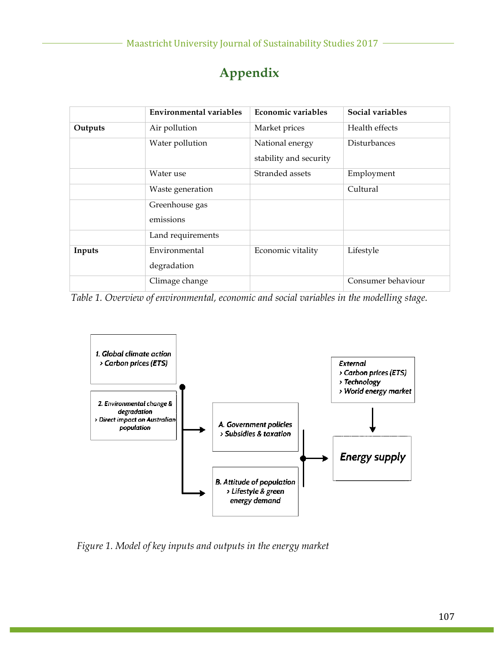|         | <b>Environmental variables</b> | Economic variables                        | Social variables    |
|---------|--------------------------------|-------------------------------------------|---------------------|
| Outputs | Air pollution                  | Market prices                             | Health effects      |
|         | Water pollution                | National energy<br>stability and security | <b>Disturbances</b> |
|         | Water use                      | Stranded assets                           | Employment          |
|         | Waste generation               |                                           | Cultural            |
|         | Greenhouse gas<br>emissions    |                                           |                     |
|         | Land requirements              |                                           |                     |
| Inputs  | Environmental<br>degradation   | Economic vitality                         | Lifestyle           |
|         | Climage change                 |                                           | Consumer behaviour  |

## **Appendix**

*Table 1. Overview of environmental, economic and social variables in the modelling stage.*



*Figure 1. Model of key inputs and outputs in the energy market*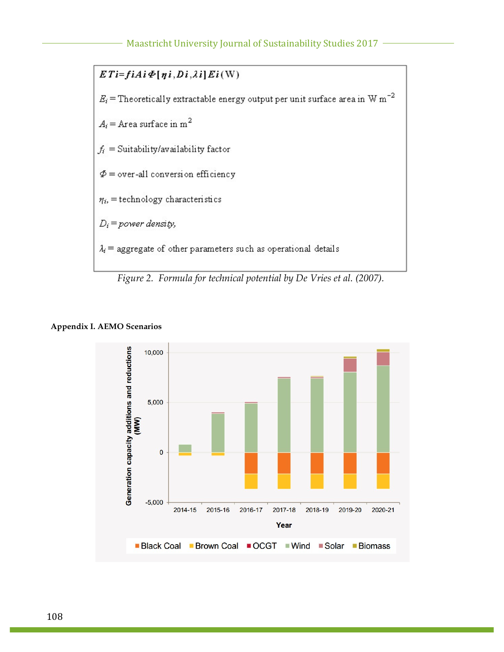

### **Appendix I. AEMO Scenarios**

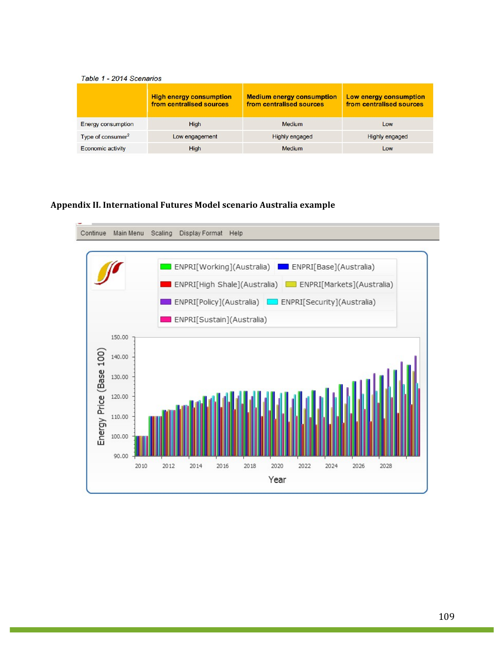#### Table 1 - 2014 Scenarios

|                               | <b>High energy consumption</b><br>from centralised sources | <b>Medium energy consumption</b><br>from centralised sources | Low energy consumption<br>from centralised sources |
|-------------------------------|------------------------------------------------------------|--------------------------------------------------------------|----------------------------------------------------|
| <b>Energy consumption</b>     | High                                                       | <b>Medium</b>                                                | Low                                                |
| Type of consumer <sup>2</sup> | Low engagement                                             | <b>Highly engaged</b>                                        | <b>Highly engaged</b>                              |
| Economic activity             | High                                                       | <b>Medium</b>                                                | Low                                                |

### **Appendix II. International Futures Model scenario Australia example**

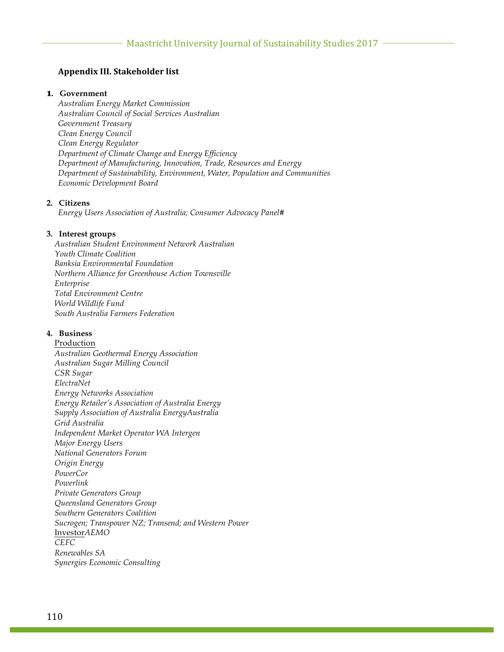### **Appendix III. Stakeholder list**

#### **1. Government**

*Australian Energy Market Commission Australian Council of Social Services Australian Government Treasury Clean Energy Council Clean Energy Regulator Department of Climate Change and Energy Efficiency Department of Manufacturing, Innovation, Trade, Resources and Energy Department of Sustainability, Environment, Water, Population and Communities Economic Development Board*

#### **2. Citizens**

*Energy Users Association of Australia; Consumer Advocacy Panel#*

#### **3. Interest groups**

*Australian Student Environment Network Australian Youth Climate Coalition Banksia Environmental Foundation Northern Alliance for Greenhouse Action Townsville Enterprise Total Environment Centre World Wildlife Fund South Australia Farmers Federation*

#### **4. Business**

Production *Australian Geothermal Energy Association Australian Sugar Milling Council CSR Sugar ElectraNet Energy Networks Association Energy Retailer's Association of Australia Energy Supply Association of Australia EnergyAustralia Grid Australia Independent Market Operator WA Intergen Major Energy Users National Generators Forum Origin Energy PowerCor Powerlink Private Generators Group Queensland Generators Group Southern Generators Coalition Sucrogen; Transpower NZ; Transend; and Western Power* Investor*AEMO CEFC Renewables SA Synergies Economic Consulting*